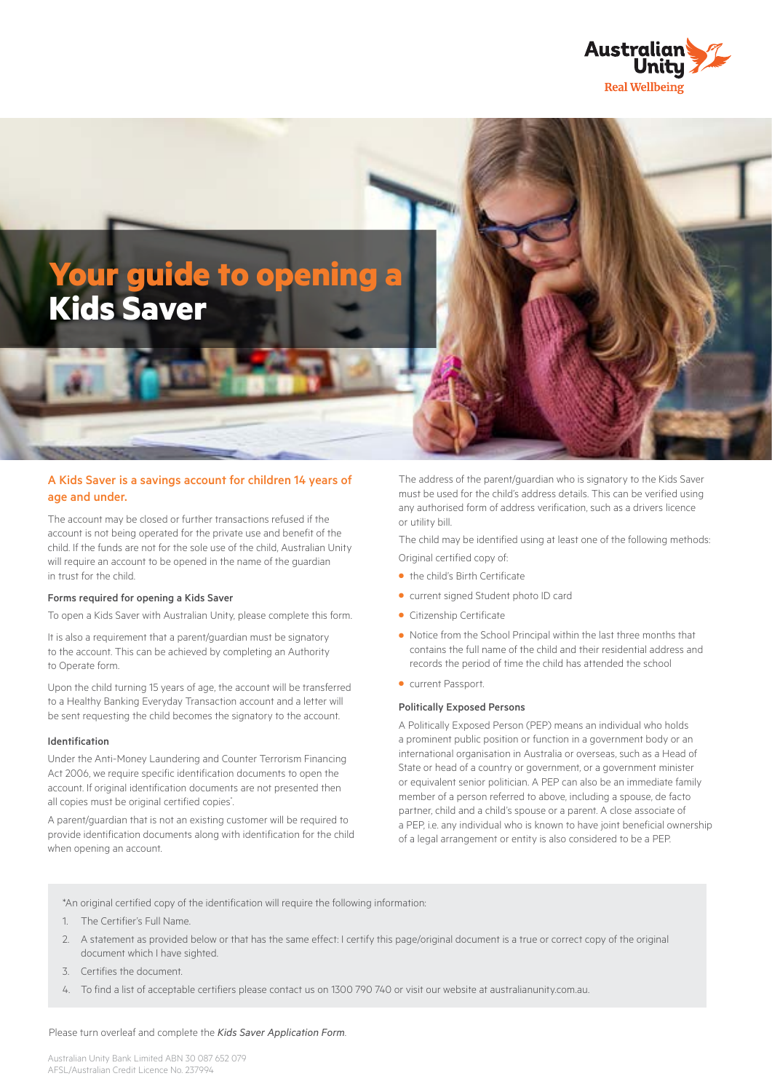



### A Kids Saver is a savings account for children 14 years of age and under.

The account may be closed or further transactions refused if the account is not being operated for the private use and benefit of the child. If the funds are not for the sole use of the child, Australian Unity will require an account to be opened in the name of the guardian in trust for the child.

### Forms required for opening a Kids Saver

To open a Kids Saver with Australian Unity, please complete this form.

It is also a requirement that a parent/guardian must be signatory to the account. This can be achieved by completing an Authority to Operate form.

Upon the child turning 15 years of age, the account will be transferred to a Healthy Banking Everyday Transaction account and a letter will be sent requesting the child becomes the signatory to the account.

### Identification

Under the Anti-Money Laundering and Counter Terrorism Financing Act 2006, we require specific identification documents to open the account. If original identification documents are not presented then all copies must be original certified copies<sup>\*</sup>. .

A parent/guardian that is not an existing customer will be required to provide identification documents along with identification for the child when opening an account.

The address of the parent/guardian who is signatory to the Kids Saver must be used for the child's address details. This can be verified using any authorised form of address verification, such as a drivers licence or utility bill.

The child may be identified using at least one of the following methods: Original certified copy of:

- **•** the child's Birth Certificate
- **•** current signed Student photo ID card
- **•** Citizenship Certificate
- **•** Notice from the School Principal within the last three months that contains the full name of the child and their residential address and records the period of time the child has attended the school
- **•** current Passport.

### Politically Exposed Persons

A Politically Exposed Person (PEP) means an individual who holds a prominent public position or function in a government body or an international organisation in Australia or overseas, such as a Head of State or head of a country or government, or a government minister or equivalent senior politician. A PEP can also be an immediate family member of a person referred to above, including a spouse, de facto partner, child and a child's spouse or a parent. A close associate of a PEP, i.e. any individual who is known to have joint beneficial ownership of a legal arrangement or entity is also considered to be a PEP.

\*An original certified copy of the identification will require the following information:

- 1. The Certifier's Full Name.
- 2. A statement as provided below or that has the same effect: I certify this page/original document is a true or correct copy of the original document which I have sighted.
- 3. Certifies the document.
- 4. To find a list of acceptable certifiers please contact us on 1300 790 740 or visit our website at australianunity.com.au.

Please turn overleaf and complete the *Kids Saver Application Form*.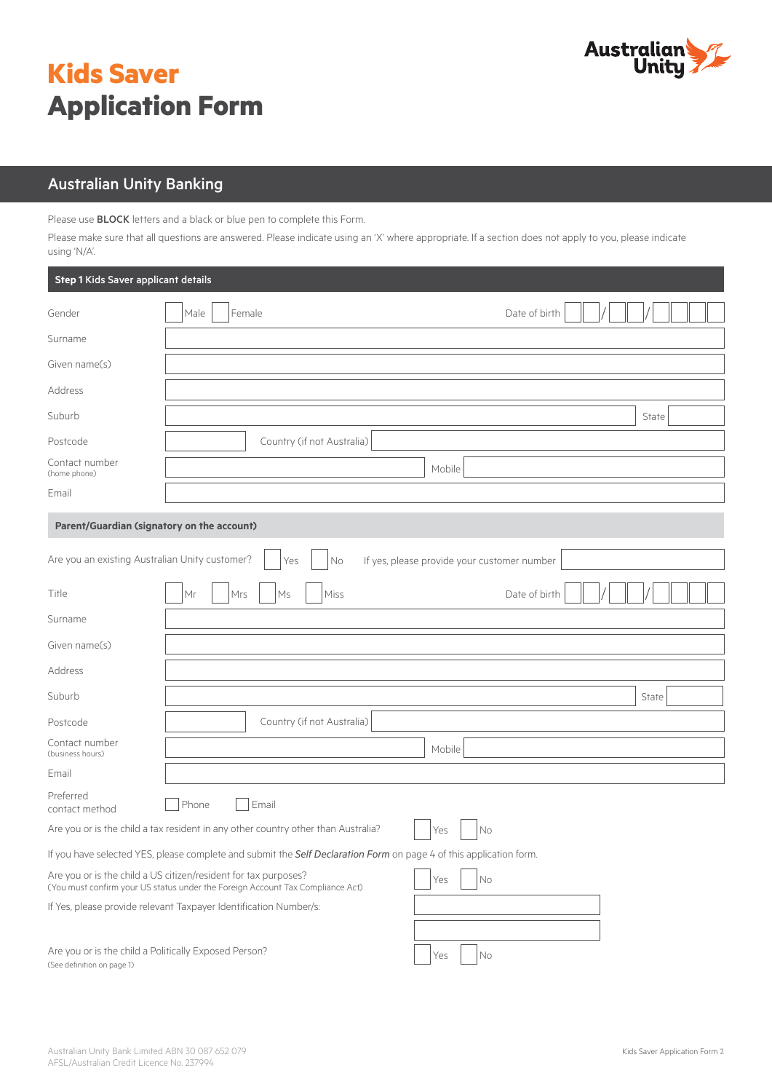# **Kids Saver Application Form**



## Australian Unity Banking

Please use BLOCK letters and a black or blue pen to complete this Form.

Please make sure that all questions are answered. Please indicate using an 'X' where appropriate. If a section does not apply to you, please indicate using 'N/A'.

| Step 1 Kids Saver applicant details                                                 |                                                                                                                                                   |                                             |  |  |  |
|-------------------------------------------------------------------------------------|---------------------------------------------------------------------------------------------------------------------------------------------------|---------------------------------------------|--|--|--|
| Gender                                                                              | Female<br>Male                                                                                                                                    | Date of birth                               |  |  |  |
| Surname                                                                             |                                                                                                                                                   |                                             |  |  |  |
| Given name(s)                                                                       |                                                                                                                                                   |                                             |  |  |  |
| Address                                                                             |                                                                                                                                                   |                                             |  |  |  |
| Suburb                                                                              |                                                                                                                                                   | State                                       |  |  |  |
| Postcode                                                                            | Country (if not Australia)                                                                                                                        |                                             |  |  |  |
| Contact number<br>(home phone)                                                      |                                                                                                                                                   | Mobile                                      |  |  |  |
| Email                                                                               |                                                                                                                                                   |                                             |  |  |  |
| Parent/Guardian (signatory on the account)                                          |                                                                                                                                                   |                                             |  |  |  |
| Are you an existing Australian Unity customer?                                      | No<br>Yes                                                                                                                                         | If yes, please provide your customer number |  |  |  |
| Title                                                                               | Mrs<br>Miss<br>Мr<br>Ms                                                                                                                           | Date of birth                               |  |  |  |
| Surname                                                                             |                                                                                                                                                   |                                             |  |  |  |
| Given name(s)                                                                       |                                                                                                                                                   |                                             |  |  |  |
| Address                                                                             |                                                                                                                                                   |                                             |  |  |  |
| Suburb                                                                              |                                                                                                                                                   | State                                       |  |  |  |
| Postcode                                                                            | Country (if not Australia)                                                                                                                        |                                             |  |  |  |
| Contact number<br>(business hours)                                                  |                                                                                                                                                   | Mobile                                      |  |  |  |
| Email                                                                               |                                                                                                                                                   |                                             |  |  |  |
| Preferred<br>contact method                                                         | Phone<br>Email                                                                                                                                    |                                             |  |  |  |
|                                                                                     | Are you or is the child a tax resident in any other country other than Australia?                                                                 | No<br>Yes                                   |  |  |  |
|                                                                                     | If you have selected YES, please complete and submit the Self Declaration Form on page 4 of this application form.                                |                                             |  |  |  |
|                                                                                     | Are you or is the child a US citizen/resident for tax purposes?<br>(You must confirm your US status under the Foreign Account Tax Compliance Act) | $\rm No$<br>Yes                             |  |  |  |
| If Yes, please provide relevant Taxpayer Identification Number/s:                   |                                                                                                                                                   |                                             |  |  |  |
| Are you or is the child a Politically Exposed Person?<br>(See definition on page 1) |                                                                                                                                                   | No<br>Yes                                   |  |  |  |